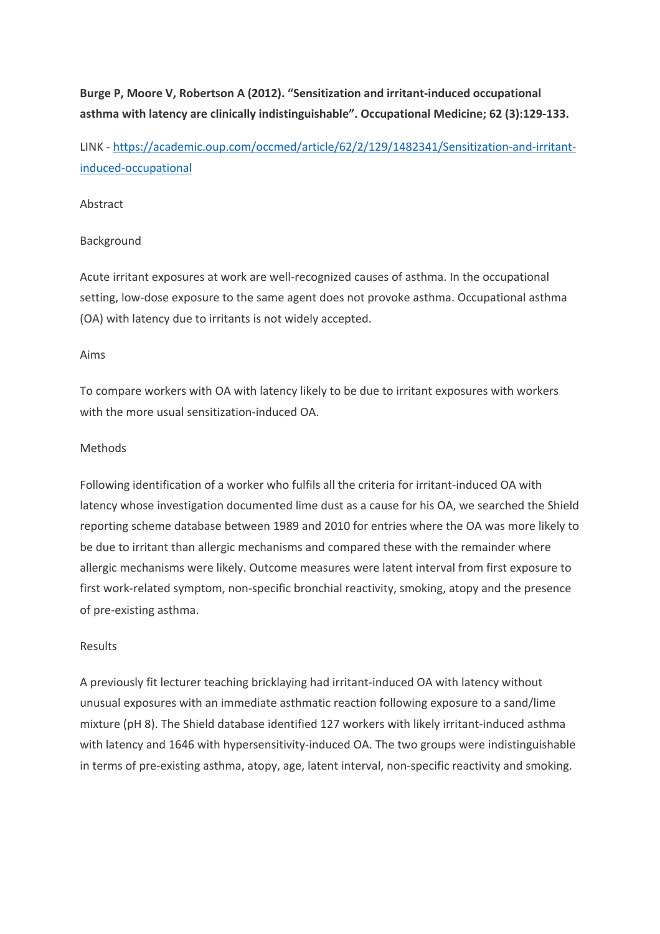**Burge P, Moore V, Robertson A (2012). "Sensitization and irritant-induced occupational asthma with latency are clinically indistinguishable". Occupational Medicine; 62 (3):129-133.**

LINK - https://academic.oup.com/occmed/article/62/2/129/1482341/Sensitization-and-irritantinduced-occupational

## Abstract

## Background

Acute irritant exposures at work are well-recognized causes of asthma. In the occupational setting, low-dose exposure to the same agent does not provoke asthma. Occupational asthma (OA) with latency due to irritants is not widely accepted.

#### Aims

To compare workers with OA with latency likely to be due to irritant exposures with workers with the more usual sensitization-induced OA.

## **Methods**

Following identification of a worker who fulfils all the criteria for irritant-induced OA with latency whose investigation documented lime dust as a cause for his OA, we searched the Shield reporting scheme database between 1989 and 2010 for entries where the OA was more likely to be due to irritant than allergic mechanisms and compared these with the remainder where allergic mechanisms were likely. Outcome measures were latent interval from first exposure to first work-related symptom, non-specific bronchial reactivity, smoking, atopy and the presence of pre-existing asthma.

#### Results

A previously fit lecturer teaching bricklaying had irritant-induced OA with latency without unusual exposures with an immediate asthmatic reaction following exposure to a sand/lime mixture (pH 8). The Shield database identified 127 workers with likely irritant-induced asthma with latency and 1646 with hypersensitivity-induced OA. The two groups were indistinguishable in terms of pre-existing asthma, atopy, age, latent interval, non-specific reactivity and smoking.